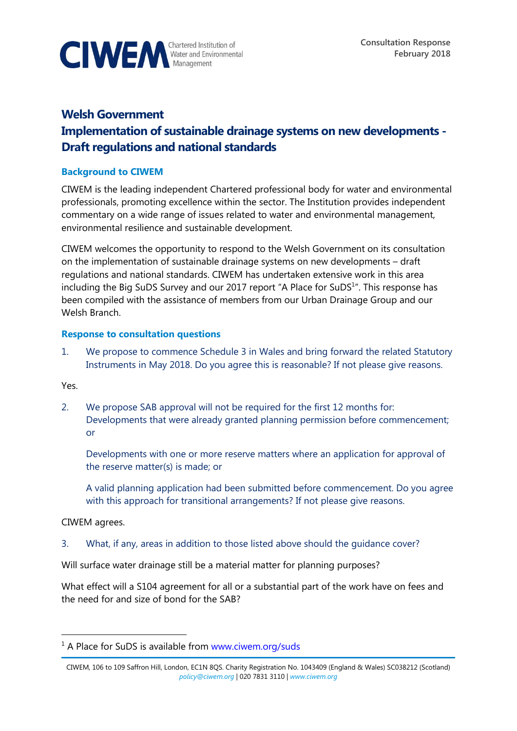

# **Welsh Government Implementation of sustainable drainage systems on new developments - Draft regulations and national standards**

## **Background to CIWEM**

CIWEM is the leading independent Chartered professional body for water and environmental professionals, promoting excellence within the sector. The Institution provides independent commentary on a wide range of issues related to water and environmental management, environmental resilience and sustainable development.

CIWEM welcomes the opportunity to respond to the Welsh Government on its consultation on the implementation of sustainable drainage systems on new developments – draft regulations and national standards. CIWEM has undertaken extensive work in this area including the Big SuDS Survey and our 2017 report "A Place for SuDS $1$ ". This response has been compiled with the assistance of members from our Urban Drainage Group and our Welsh Branch.

### **Response to consultation questions**

1. We propose to commence Schedule 3 in Wales and bring forward the related Statutory Instruments in May 2018. Do you agree this is reasonable? If not please give reasons.

Yes.

2. We propose SAB approval will not be required for the first 12 months for: Developments that were already granted planning permission before commencement; or

Developments with one or more reserve matters where an application for approval of the reserve matter(s) is made; or

A valid planning application had been submitted before commencement. Do you agree with this approach for transitional arrangements? If not please give reasons.

CIWEM agrees.

 $\overline{a}$ 

3. What, if any, areas in addition to those listed above should the guidance cover?

Will surface water drainage still be a material matter for planning purposes?

What effect will a S104 agreement for all or a substantial part of the work have on fees and the need for and size of bond for the SAB?

 $1$  A Place for SuDS is available from [www.ciwem.org/suds](http://www.ciwem.org/suds)

CIWEM, 106 to 109 Saffron Hill, London, EC1N 8QS. Charity Registration No. 1043409 (England & Wales) SC038212 (Scotland) *[policy@ciwem.org](mailto:policy@ciwem.org)* | 020 7831 3110 | *[www.ciwem.org](http://www.ciwem.org/)*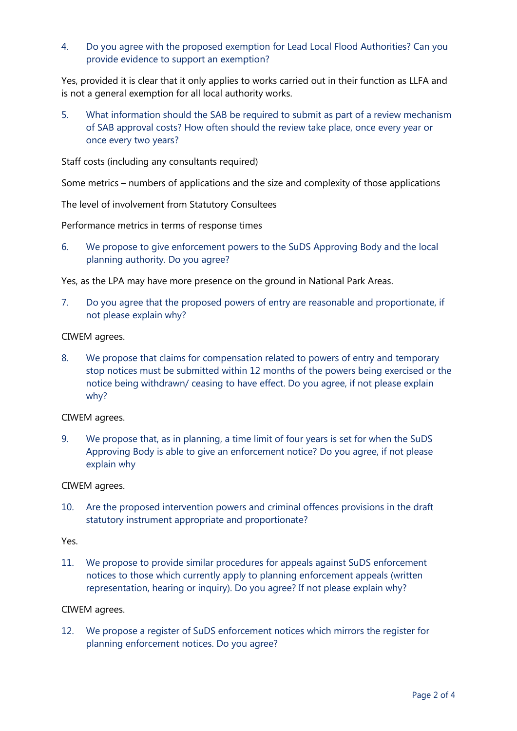4. Do you agree with the proposed exemption for Lead Local Flood Authorities? Can you provide evidence to support an exemption?

Yes, provided it is clear that it only applies to works carried out in their function as LLFA and is not a general exemption for all local authority works.

5. What information should the SAB be required to submit as part of a review mechanism of SAB approval costs? How often should the review take place, once every year or once every two years?

Staff costs (including any consultants required)

Some metrics – numbers of applications and the size and complexity of those applications

The level of involvement from Statutory Consultees

Performance metrics in terms of response times

6. We propose to give enforcement powers to the SuDS Approving Body and the local planning authority. Do you agree?

Yes, as the LPA may have more presence on the ground in National Park Areas.

7. Do you agree that the proposed powers of entry are reasonable and proportionate, if not please explain why?

CIWEM agrees.

8. We propose that claims for compensation related to powers of entry and temporary stop notices must be submitted within 12 months of the powers being exercised or the notice being withdrawn/ ceasing to have effect. Do you agree, if not please explain why?

CIWEM agrees.

9. We propose that, as in planning, a time limit of four years is set for when the SuDS Approving Body is able to give an enforcement notice? Do you agree, if not please explain why

CIWEM agrees.

10. Are the proposed intervention powers and criminal offences provisions in the draft statutory instrument appropriate and proportionate?

Yes.

11. We propose to provide similar procedures for appeals against SuDS enforcement notices to those which currently apply to planning enforcement appeals (written representation, hearing or inquiry). Do you agree? If not please explain why?

CIWEM agrees.

12. We propose a register of SuDS enforcement notices which mirrors the register for planning enforcement notices. Do you agree?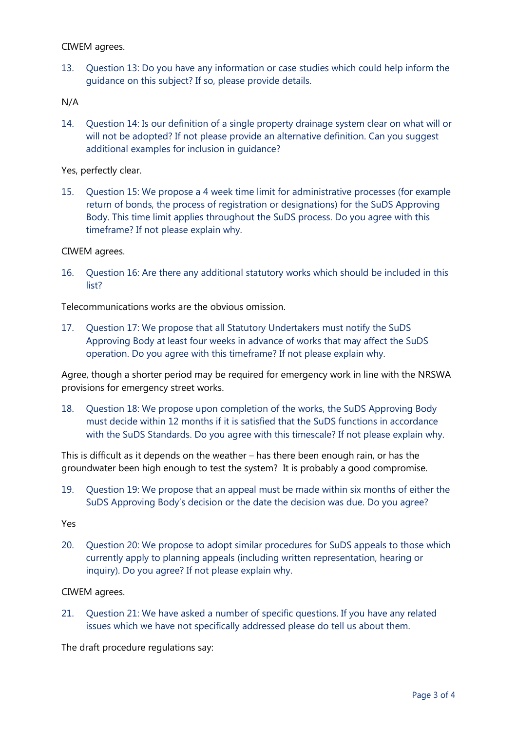#### CIWEM agrees.

13. Question 13: Do you have any information or case studies which could help inform the guidance on this subject? If so, please provide details.

N/A

14. Question 14: Is our definition of a single property drainage system clear on what will or will not be adopted? If not please provide an alternative definition. Can you suggest additional examples for inclusion in guidance?

Yes, perfectly clear.

15. Question 15: We propose a 4 week time limit for administrative processes (for example return of bonds, the process of registration or designations) for the SuDS Approving Body. This time limit applies throughout the SuDS process. Do you agree with this timeframe? If not please explain why.

CIWEM agrees.

16. Question 16: Are there any additional statutory works which should be included in this list?

Telecommunications works are the obvious omission.

17. Question 17: We propose that all Statutory Undertakers must notify the SuDS Approving Body at least four weeks in advance of works that may affect the SuDS operation. Do you agree with this timeframe? If not please explain why.

Agree, though a shorter period may be required for emergency work in line with the NRSWA provisions for emergency street works.

18. Question 18: We propose upon completion of the works, the SuDS Approving Body must decide within 12 months if it is satisfied that the SuDS functions in accordance with the SuDS Standards. Do you agree with this timescale? If not please explain why.

This is difficult as it depends on the weather – has there been enough rain, or has the groundwater been high enough to test the system? It is probably a good compromise.

19. Question 19: We propose that an appeal must be made within six months of either the SuDS Approving Body's decision or the date the decision was due. Do you agree?

Yes

20. Question 20: We propose to adopt similar procedures for SuDS appeals to those which currently apply to planning appeals (including written representation, hearing or inquiry). Do you agree? If not please explain why.

### CIWEM agrees.

21. Question 21: We have asked a number of specific questions. If you have any related issues which we have not specifically addressed please do tell us about them.

The draft procedure regulations say: